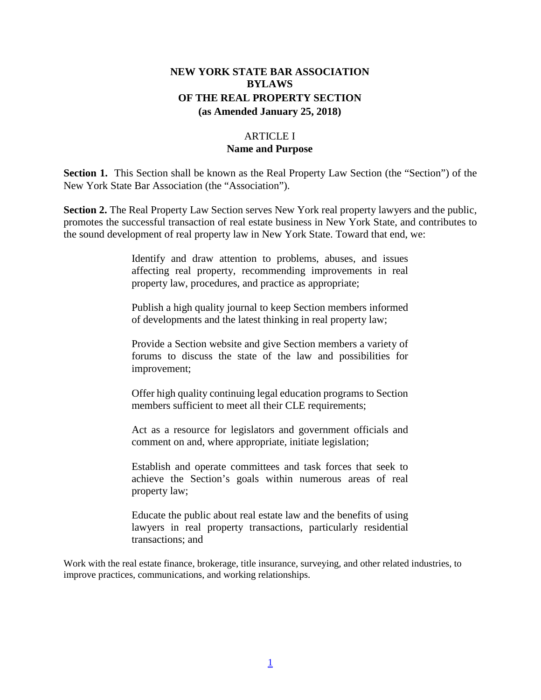# **NEW YORK STATE BAR ASSOCIATION BYLAWS OF THE REAL PROPERTY SECTION (as Amended January 25, 2018)**

## ARTICLE I **Name and Purpose**

**Section 1.** This Section shall be known as the Real Property Law Section (the "Section") of the New York State Bar Association (the "Association").

**Section 2.** The Real Property Law Section serves New York real property lawyers and the public, promotes the successful transaction of real estate business in New York State, and contributes to the sound development of real property law in New York State. Toward that end, we:

> Identify and draw attention to problems, abuses, and issues affecting real property, recommending improvements in real property law, procedures, and practice as appropriate;

> Publish a high quality journal to keep Section members informed of developments and the latest thinking in real property law;

> Provide a Section website and give Section members a variety of forums to discuss the state of the law and possibilities for improvement;

> Offer high quality continuing legal education programs to Section members sufficient to meet all their CLE requirements;

> Act as a resource for legislators and government officials and comment on and, where appropriate, initiate legislation;

> Establish and operate committees and task forces that seek to achieve the Section's goals within numerous areas of real property law;

> Educate the public about real estate law and the benefits of using lawyers in real property transactions, particularly residential transactions; and

Work with the real estate finance, brokerage, title insurance, surveying, and other related industries, to improve practices, communications, and working relationships.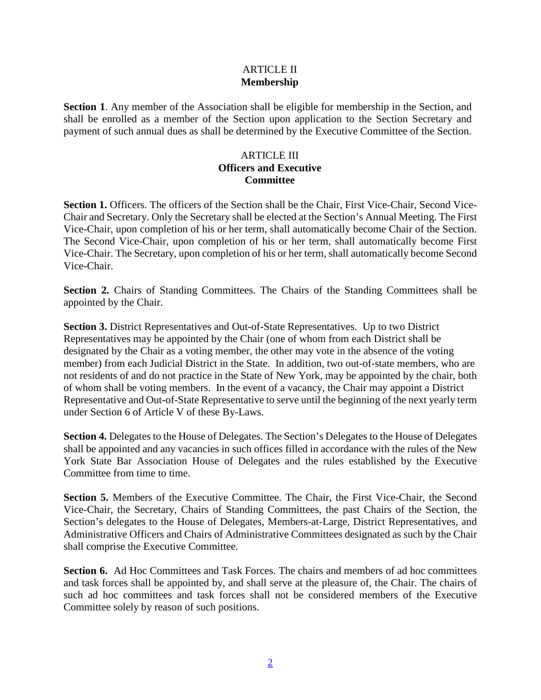#### ARTICLE II **Membership**

**Section 1**. Any member of the Association shall be eligible for membership in the Section, and shall be enrolled as a member of the Section upon application to the Section Secretary and payment of such annual dues as shall be determined by the Executive Committee of the Section.

#### ARTICLE III **Officers and Executive Committee**

**Section 1.** Officers. The officers of the Section shall be the Chair, First Vice-Chair, Second Vice-Chair and Secretary. Only the Secretary shall be elected at the Section's Annual Meeting. The First Vice-Chair, upon completion of his or her term, shall automatically become Chair of the Section. The Second Vice-Chair, upon completion of his or her term, shall automatically become First Vice-Chair. The Secretary, upon completion of his or her term, shall automatically become Second Vice-Chair.

Section 2. Chairs of Standing Committees. The Chairs of the Standing Committees shall be appointed by the Chair.

**Section 3.** District Representatives and Out-of-State Representatives. Up to two District Representatives may be appointed by the Chair (one of whom from each District shall be designated by the Chair as a voting member, the other may vote in the absence of the voting member) from each Judicial District in the State. In addition, two out-of-state members, who are not residents of and do not practice in the State of New York, may be appointed by the chair, both of whom shall be voting members. In the event of a vacancy, the Chair may appoint a District Representative and Out-of-State Representative to serve until the beginning of the next yearly term under Section 6 of Article V of these By-Laws.

**Section 4.** Delegates to the House of Delegates. The Section's Delegates to the House of Delegates shall be appointed and any vacancies in such offices filled in accordance with the rules of the New York State Bar Association House of Delegates and the rules established by the Executive Committee from time to time.

**Section 5.** Members of the Executive Committee. The Chair, the First Vice-Chair, the Second Vice-Chair, the Secretary, Chairs of Standing Committees, the past Chairs of the Section, the Section's delegates to the House of Delegates, Members-at-Large, District Representatives, and Administrative Officers and Chairs of Administrative Committees designated as such by the Chair shall comprise the Executive Committee.

**Section 6.** Ad Hoc Committees and Task Forces. The chairs and members of ad hoc committees and task forces shall be appointed by, and shall serve at the pleasure of, the Chair. The chairs of such ad hoc committees and task forces shall not be considered members of the Executive Committee solely by reason of such positions.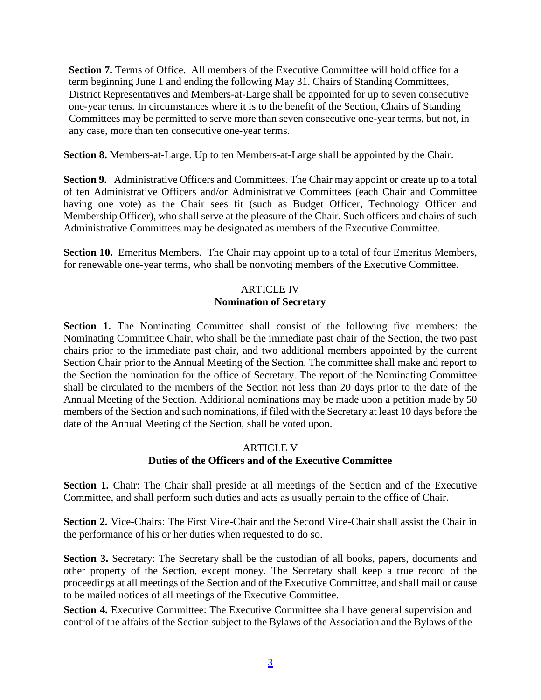**Section 7.** Terms of Office. All members of the Executive Committee will hold office for a term beginning June 1 and ending the following May 31. Chairs of Standing Committees, District Representatives and Members-at-Large shall be appointed for up to seven consecutive one-year terms. In circumstances where it is to the benefit of the Section, Chairs of Standing Committees may be permitted to serve more than seven consecutive one-year terms, but not, in any case, more than ten consecutive one-year terms.

**Section 8.** Members-at-Large. Up to ten Members-at-Large shall be appointed by the Chair.

Section 9. Administrative Officers and Committees. The Chair may appoint or create up to a total of ten Administrative Officers and/or Administrative Committees (each Chair and Committee having one vote) as the Chair sees fit (such as Budget Officer, Technology Officer and Membership Officer), who shall serve at the pleasure of the Chair. Such officers and chairs of such Administrative Committees may be designated as members of the Executive Committee.

**Section 10.** Emeritus Members. The Chair may appoint up to a total of four Emeritus Members, for renewable one-year terms, who shall be nonvoting members of the Executive Committee.

## ARTICLE IV **Nomination of Secretary**

**Section 1.** The Nominating Committee shall consist of the following five members: the Nominating Committee Chair, who shall be the immediate past chair of the Section, the two past chairs prior to the immediate past chair, and two additional members appointed by the current Section Chair prior to the Annual Meeting of the Section. The committee shall make and report to the Section the nomination for the office of Secretary. The report of the Nominating Committee shall be circulated to the members of the Section not less than 20 days prior to the date of the Annual Meeting of the Section. Additional nominations may be made upon a petition made by 50 members of the Section and such nominations, if filed with the Secretary at least 10 days before the date of the Annual Meeting of the Section, shall be voted upon.

## ARTICLE V **Duties of the Officers and of the Executive Committee**

**Section 1.** Chair: The Chair shall preside at all meetings of the Section and of the Executive Committee, and shall perform such duties and acts as usually pertain to the office of Chair.

**Section 2.** Vice-Chairs: The First Vice-Chair and the Second Vice-Chair shall assist the Chair in the performance of his or her duties when requested to do so.

**Section 3.** Secretary: The Secretary shall be the custodian of all books, papers, documents and other property of the Section, except money. The Secretary shall keep a true record of the proceedings at all meetings of the Section and of the Executive Committee, and shall mail or cause to be mailed notices of all meetings of the Executive Committee.

**Section 4.** Executive Committee: The Executive Committee shall have general supervision and control of the affairs of the Section subject to the Bylaws of the Association and the Bylaws of the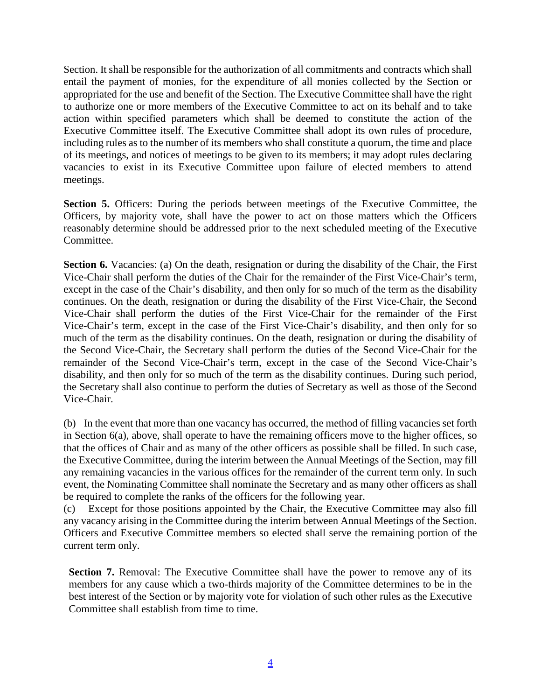Section. It shall be responsible for the authorization of all commitments and contracts which shall entail the payment of monies, for the expenditure of all monies collected by the Section or appropriated for the use and benefit of the Section. The Executive Committee shall have the right to authorize one or more members of the Executive Committee to act on its behalf and to take action within specified parameters which shall be deemed to constitute the action of the Executive Committee itself. The Executive Committee shall adopt its own rules of procedure, including rules as to the number of its members who shall constitute a quorum, the time and place of its meetings, and notices of meetings to be given to its members; it may adopt rules declaring vacancies to exist in its Executive Committee upon failure of elected members to attend meetings.

Section 5. Officers: During the periods between meetings of the Executive Committee, the Officers, by majority vote, shall have the power to act on those matters which the Officers reasonably determine should be addressed prior to the next scheduled meeting of the Executive Committee.

**Section 6.** Vacancies: (a) On the death, resignation or during the disability of the Chair, the First Vice-Chair shall perform the duties of the Chair for the remainder of the First Vice-Chair's term, except in the case of the Chair's disability, and then only for so much of the term as the disability continues. On the death, resignation or during the disability of the First Vice-Chair, the Second Vice-Chair shall perform the duties of the First Vice-Chair for the remainder of the First Vice-Chair's term, except in the case of the First Vice-Chair's disability, and then only for so much of the term as the disability continues. On the death, resignation or during the disability of the Second Vice-Chair, the Secretary shall perform the duties of the Second Vice-Chair for the remainder of the Second Vice-Chair's term, except in the case of the Second Vice-Chair's disability, and then only for so much of the term as the disability continues. During such period, the Secretary shall also continue to perform the duties of Secretary as well as those of the Second Vice-Chair.

(b) In the event that more than one vacancy has occurred, the method of filling vacancies set forth in Section 6(a), above, shall operate to have the remaining officers move to the higher offices, so that the offices of Chair and as many of the other officers as possible shall be filled. In such case, the Executive Committee, during the interim between the Annual Meetings of the Section, may fill any remaining vacancies in the various offices for the remainder of the current term only. In such event, the Nominating Committee shall nominate the Secretary and as many other officers as shall be required to complete the ranks of the officers for the following year.

(c) Except for those positions appointed by the Chair, the Executive Committee may also fill any vacancy arising in the Committee during the interim between Annual Meetings of the Section. Officers and Executive Committee members so elected shall serve the remaining portion of the current term only.

**Section 7.** Removal: The Executive Committee shall have the power to remove any of its members for any cause which a two-thirds majority of the Committee determines to be in the best interest of the Section or by majority vote for violation of such other rules as the Executive Committee shall establish from time to time.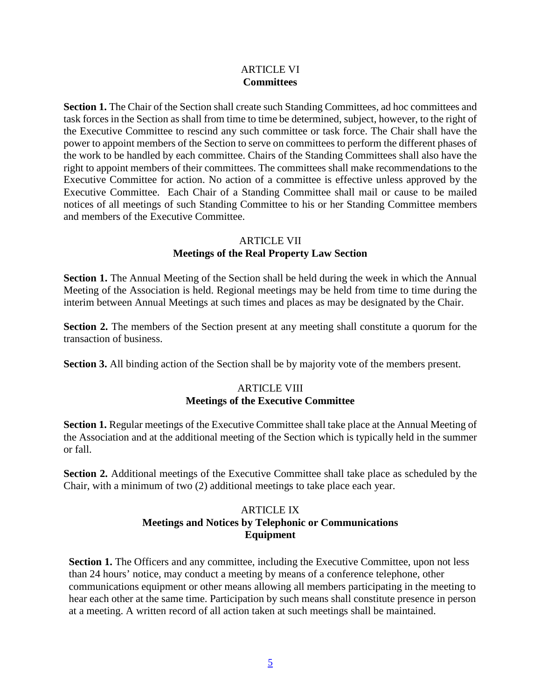#### ARTICLE VI **Committees**

**Section 1.** The Chair of the Section shall create such Standing Committees, ad hoc committees and task forces in the Section as shall from time to time be determined, subject, however, to the right of the Executive Committee to rescind any such committee or task force. The Chair shall have the power to appoint members of the Section to serve on committees to perform the different phases of the work to be handled by each committee. Chairs of the Standing Committees shall also have the right to appoint members of their committees. The committees shall make recommendations to the Executive Committee for action. No action of a committee is effective unless approved by the Executive Committee. Each Chair of a Standing Committee shall mail or cause to be mailed notices of all meetings of such Standing Committee to his or her Standing Committee members and members of the Executive Committee.

# ARTICLE VII

# **Meetings of the Real Property Law Section**

**Section 1.** The Annual Meeting of the Section shall be held during the week in which the Annual Meeting of the Association is held. Regional meetings may be held from time to time during the interim between Annual Meetings at such times and places as may be designated by the Chair.

**Section 2.** The members of the Section present at any meeting shall constitute a quorum for the transaction of business.

**Section 3.** All binding action of the Section shall be by majority vote of the members present.

# ARTICLE VIII **Meetings of the Executive Committee**

**Section 1.** Regular meetings of the Executive Committee shall take place at the Annual Meeting of the Association and at the additional meeting of the Section which is typically held in the summer or fall.

**Section 2.** Additional meetings of the Executive Committee shall take place as scheduled by the Chair, with a minimum of two (2) additional meetings to take place each year.

## ARTICLE IX **Meetings and Notices by Telephonic or Communications Equipment**

**Section 1.** The Officers and any committee, including the Executive Committee, upon not less than 24 hours' notice, may conduct a meeting by means of a conference telephone, other communications equipment or other means allowing all members participating in the meeting to hear each other at the same time. Participation by such means shall constitute presence in person at a meeting. A written record of all action taken at such meetings shall be maintained.